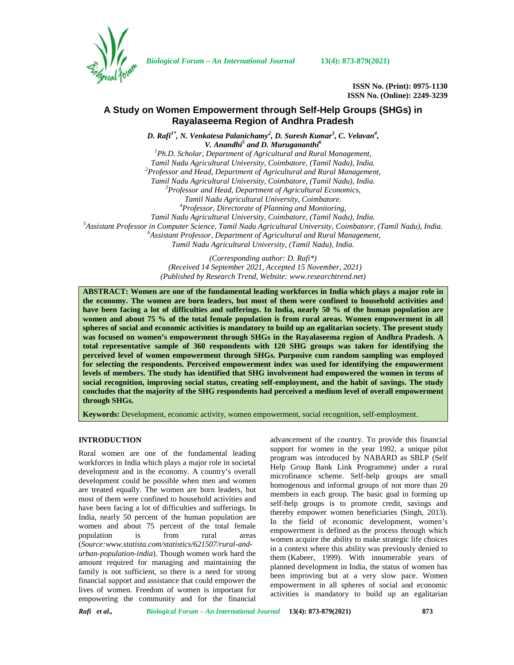

*Biological Forum – An International Journal* **13(4): 873-879(2021)**

**ISSN No. (Print): 0975-1130 ISSN No. (Online): 2249-3239**

# **A Study on Women Empowerment through Self-Help Groups (SHGs) in Rayalaseema Region of Andhra Pradesh**

*D. Rafi1\* , N. Venkatesa Palanichamy<sup>2</sup> , D. Suresh Kumar<sup>3</sup> , C. Velavan<sup>4</sup> ,*

*V. Anandhi<sup>5</sup> and D. Murugananthi<sup>6</sup>*

*<sup>1</sup>Ph.D. Scholar, Department of Agricultural and Rural Management, Tamil Nadu Agricultural University, Coimbatore, (Tamil Nadu), India. <sup>2</sup>Professor and Head, Department of Agricultural and Rural Management, Tamil Nadu Agricultural University, Coimbatore, (Tamil Nadu), India. <sup>3</sup>Professor and Head, Department of Agricultural Economics, Tamil Nadu Agricultural University, Coimbatore. <sup>4</sup>Professor, Directorate of Planning and Monitoring,* Tamil Nadu Agricultural University, Coimbatore, (Tamil Nadu), India.<br><sup>5</sup> Assistant Professor in Computer Science, Tamil Nadu Agricultural University, Coimbatore, (Tamil Nadu), India.<br><sup>6</sup> Assistant Professor, Department of *Tamil Nadu Agricultural University, (Tamil Nadu), India.*

*(Corresponding author: D. Rafi\*) (Received 14 September 2021, Accepted 15 November, 2021) (Published by Research Trend, Website: [www.researchtrend.net\)](www.researchtrend.net)*

**ABSTRACT: Women are one of the fundamental leading workforces in India which plays a major role in the economy. The women are born leaders, but most of them were confined to household activities and have been facing a lot of difficulties and sufferings. In India, nearly 50 % of the human population are women and about 75 % of the total female population is from rural areas. Women empowerment in all spheres of social and economic activities is mandatory to build up an egalitarian society. The present study was focused on women's empowerment through SHGs in the Rayalaseema region of Andhra Pradesh. A total representative sample of 360 respondents with 120 SHG groups was taken for identifying the perceived level of women empowerment through SHGs. Purposive cum random sampling was employed for selecting the respondents. Perceived empowerment index was used for identifying the empowerment levels of members. The study has identified that SHG involvement had empowered the women in terms of social recognition, improving social status, creating self-employment, and the habit of savings. The study concludes that the majority of the SHG respondents had perceived a medium level of overall empowerment through SHGs.**

**Keywords:** Development, economic activity, women empowerment, social recognition, self-employment.

## **INTRODUCTION**

Rural women are one of the fundamental leading workforces in India which plays a major role in societal development and in the economy. A country's overall development could be possible when men and women are treated equally. The women are born leaders, but most of them were confined to household activities and have been facing a lot of difficulties and sufferings. In India, nearly 50 percent of the human population are women and about 75 percent of the total female population is from rural areas (*Source:[www.statista.com/statistics/621507/rural-and](www.statista.com/statistics/621507/rural-and-) urban-population-india*). Though women work hard the amount required for managing and maintaining the family is not sufficient, so there is a need for strong financial support and assistance that could empower the lives of women. Freedom of women is important for empowering the community and for the financial

advancement of the country. To provide this financial support for women in the year 1992, a unique pilot program was introduced by NABARD as SBLP (Self Help Group Bank Link Programme) under a rural microfinance scheme. Self-help groups are small homogenous and informal groups of not more than 20 members in each group. The basic goal in forming up self-help groups is to promote credit, savings and thereby empower women beneficiaries (Singh, 2013)*.* In the field of economic development, women's empowerment is defined as the process through which women acquire the ability to make strategic life choices in a context where this ability was previously denied to them (Kabeer, 1999). With innumerable years of planned development in India, the status of women has been improving but at a very slow pace. Women empowerment in all spheres of social and economic activities is mandatory to build up an egalitarian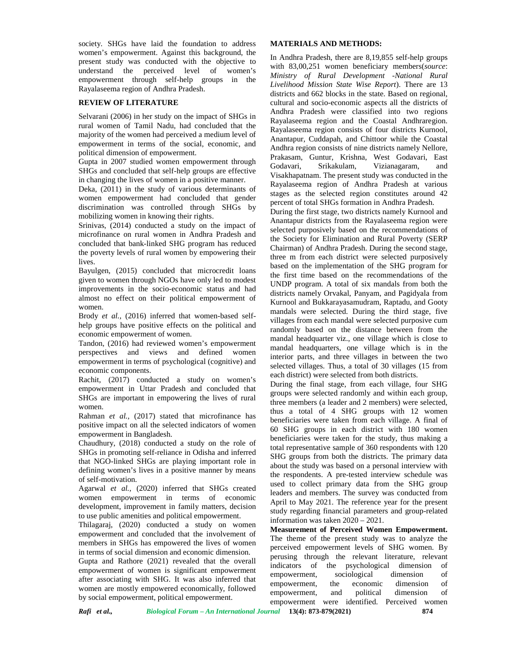society. SHGs have laid the foundation to address women's empowerment. Against this background, the present study was conducted with the objective to understand the perceived level of women's empowerment through self-help groups in the Rayalaseema region of Andhra Pradesh.

## **REVIEW OF LITERATURE**

Selvarani (2006) in her study on the impact of SHGs in rural women of Tamil Nadu, had concluded that the majority of the women had perceived a medium level of empowerment in terms of the social, economic, and political dimension of empowerment.

Gupta in 2007 studied women empowerment through Godavari. SHGs and concluded that self-help groups are effective in changing the lives of women in a positive manner.

Deka, (2011) in the study of various determinants of women empowerment had concluded that gender discrimination was controlled through SHGs by mobilizing women in knowing their rights.

Srinivas, (2014) conducted a study on the impact of microfinance on rural women in Andhra Pradesh and concluded that bank-linked SHG program has reduced the poverty levels of rural women by empowering their lives.

Bayulgen, (2015) concluded that microcredit loans given to women through NGOs have only led to modest improvements in the socio-economic status and had almost no effect on their political empowerment of women.

Brody *et al.,* (2016) inferred that women-based self help groups have positive effects on the political and economic empowerment of women.

Tandon, (2016) had reviewed women's empowerment perspectives and views and defined women empowerment in terms of psychological (cognitive) and economic components.

Rachit, (2017) conducted a study on women's empowerment in Uttar Pradesh and concluded that SHGs are important in empowering the lives of rural women.

Rahman *et al.,* (2017) stated that microfinance has positive impact on all the selected indicators of women empowerment in Bangladesh.

Chaudhury, (2018) conducted a study on the role of SHGs in promoting self-reliance in Odisha and inferred that NGO-linked SHGs are playing important role in defining women's lives in a positive manner by means of self-motivation.

Agarwal *et al.,* (2020) inferred that SHGs created women empowerment in terms of economic development, improvement in family matters, decision to use public amenities and political empowerment.

Thilagaraj, (2020) conducted a study on women empowerment and concluded that the involvement of members in SHGs has empowered the lives of women in terms of social dimension and economic dimension.

Gupta and Rathore  $(2021)$  revealed that the overall  $\frac{\text{perusing}}{\text{indicators}}$ empowerment of women is significant empowerment after associating with SHG. It was also inferred that women are mostly empowered economically, followed by social empowerment, political empowerment.

### **MATERIALS AND METHODS:**

In Andhra Pradesh, there are 8,19,855 self-help groups with 83,00,251 women beneficiary members(*source*: *Ministry of Rural Development -National Rural Livelihood Mission State Wise Report*). There are 13 districts and 662 blocks in the state. Based on regional, cultural and socio-economic aspects all the districts of Andhra Pradesh were classified into two regions Rayalaseema region and the Coastal Andhraregion. Rayalaseema region consists of four districts Kurnool, Anantapur, Cuddapah, and Chittoor while the Coastal Andhra region consists of nine districts namely Nellore, Prakasam, Guntur, Krishna, West Godavari, East Srikakulam, Vizianagaram, and Visakhapatnam. The present study was conducted in the Rayalaseema region of Andhra Pradesh at various stages as the selected region constitutes around 42 percent of total SHGs formation in Andhra Pradesh.

During the first stage, two districts namely Kurnool and Anantapur districts from the Rayalaseema region were selected purposively based on the recommendations of the Society for Elimination and Rural Poverty (SERP Chairman) of Andhra Pradesh. During the second stage, three m from each district were selected purposively based on the implementation of the SHG program for the first time based on the recommendations of the UNDP program. A total of six mandals from both the districts namely Orvakal, Panyam, and Pagidyala from Kurnool and Bukkarayasamudram, Raptadu, and Gooty mandals were selected. During the third stage, five villages from each mandal were selected purposive cum randomly based on the distance between from the mandal headquarter viz., one village which is close to mandal headquarters, one village which is in the interior parts, and three villages in between the two selected villages. Thus, a total of 30 villages (15 from each district) were selected from both districts.

During the final stage, from each village, four SHG groups were selected randomly and within each group, three members (a leader and 2 members) were selected, thus a total of 4 SHG groups with 12 women beneficiaries were taken from each village. A final of 60 SHG groups in each district with 180 women beneficiaries were taken for the study, thus making a total representative sample of 360 respondents with 120 SHG groups from both the districts. The primary data about the study was based on a personal interview with the respondents. A pre-tested interview schedule was used to collect primary data from the SHG group leaders and members. The survey was conducted from April to May 2021. The reference year for the present study regarding financial parameters and group-related information was taken 2020 – 2021.

**Measurement of Perceived Women Empowerment.** The theme of the present study was to analyze the perceived empowerment levels of SHG women. By perusing through the relevant literature, relevant the psychological dimension of empowerment, sociological dimension of empowerment, the economic dimension of empowerment, and political dimension of empowerment were identified. Perceived women

*Rafi et al., Biological Forum – An International Journal* **13(4): 873-879(2021) 874**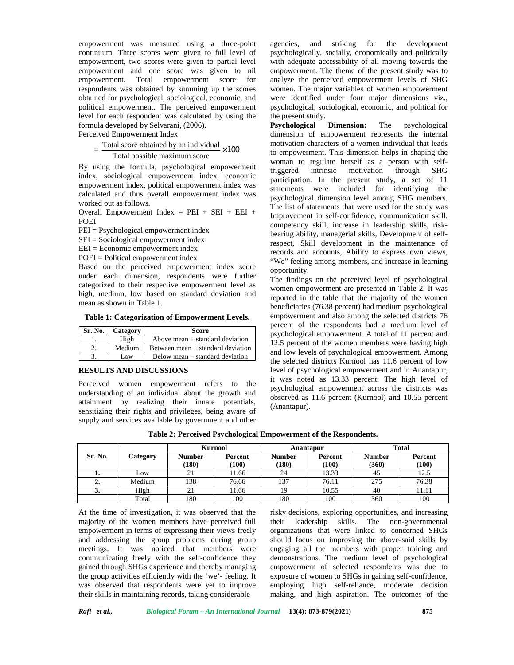empowerment was measured using a three-point agencies, continuum. Three scores were given to full level of empowerment, two scores were given to partial level empowerment and one score was given to nil empowerment. Total empowerment score for respondents was obtained by summing up the scores obtained for psychological, sociological, economic, and political empowerment. The perceived empowerment level for each respondent was calculated by using the formula developed by Selvarani, (2006).

Perceived Empowerment Index

# Total score obtained by an individual  $\times 100$ Total possible maximum score

By using the formula, psychological empowerment triggered index, sociological empowerment index, economic empowerment index, political empowerment index was calculated and thus overall empowerment index was worked out as follows.

Overall Empowerment Index =  $PEI + SEI + EEI +$ POEI

PEI = Psychological empowerment index

SEI = Sociological empowerment index

EEI = Economic empowerment index

POEI = Political empowerment index

Based on the perceived empowerment index score under each dimension, respondents were further categorized to their respective empowerment level as high, medium, low based on standard deviation and mean as shown in Table 1.

**Table 1: Categorization of Empowerment Levels.**

| <b>Sr. No.</b> | Category | Score                                 |
|----------------|----------|---------------------------------------|
|                | High     | Above mean $+$ standard deviation     |
|                | Medium   | Between mean $\pm$ standard deviation |
|                | Low.     | Below mean – standard deviation       |

### **RESULTS AND DISCUSSIONS**

Perceived women empowerment refers to the understanding of an individual about the growth and attainment by realizing their innate potentials, sensitizing their rights and privileges, being aware of supply and services available by government and other

and striking for the development psychologically, socially, economically and politically with adequate accessibility of all moving towards the empowerment. The theme of the present study was to analyze the perceived empowerment levels of SHG women. The major variables of women empowerment were identified under four major dimensions viz., psychological, sociological, economic, and political for the present study.

 $\times 100$  to empowerment. This dimension helps in shaping the **Psychological Dimension:** The psychological dimension of empowerment represents the internal motivation characters of a women individual that leads woman to regulate herself as a person with selfintrinsic motivation through SHG participation. In the present study, a set of 11 statements were included for identifying the psychological dimension level among SHG members. The list of statements that were used for the study was Improvement in self-confidence, communication skill, competency skill, increase in leadership skills, risk bearing ability, managerial skills, Development of selfrespect, Skill development in the maintenance of records and accounts, Ability to express own views, "We" feeling among members, and increase in learning opportunity.

> The findings on the perceived level of psychological women empowerment are presented in Table 2. It was reported in the table that the majority of the women beneficiaries (76.38 percent) had medium psychological empowerment and also among the selected districts 76 percent of the respondents had a medium level of psychological empowerment. A total of 11 percent and 12.5 percent of the women members were having high and low levels of psychological empowerment. Among the selected districts Kurnool has 11.6 percent of low level of psychological empowerment and in Anantapur, it was noted as 13.33 percent. The high level of psychological empowerment across the districts was observed as 11.6 percent (Kurnool) and 10.55 percent (Anantapur).

|         | <b>Kurnool</b> |                        | Anantapur        |                        | <b>Total</b>     |                        |                  |
|---------|----------------|------------------------|------------------|------------------------|------------------|------------------------|------------------|
| Sr. No. | Category       | <b>Number</b><br>(180) | Percent<br>(100) | <b>Number</b><br>(180) | Percent<br>(100) | <b>Number</b><br>(360) | Percent<br>(100) |
| ı.      | Low            | 21                     | 11.66            | 24                     | 13.33            | 45                     | 12.5             |
| ٠.      | Medium         | 138                    | 76.66            | 137                    | 76.11            | 275                    | 76.38            |
| J.      | High           | 21                     | 11.66            | 19                     | 10.55            | 40                     | 11.11            |
|         | Total          | 180                    | 100              | 180                    | 100              | 360                    | 100              |

At the time of investigation, it was observed that the majority of the women members have perceived full empowerment in terms of expressing their views freely and addressing the group problems during group meetings. It was noticed that members were communicating freely with the self-confidence they gained through SHGs experience and thereby managing the group activities efficiently with the 'we'- feeling. It was observed that respondents were yet to improve their skills in maintaining records, taking considerable

risky decisions, exploring opportunities, and increasing their leadership skills. The non-governmental organizations that were linked to concerned SHGs should focus on improving the above-said skills by engaging all the members with proper training and demonstrations. The medium level of psychological empowerment of selected respondents was due to exposure of women to SHGs in gaining self-confidence, employing high self-reliance, moderate decision making, and high aspiration. The outcomes of the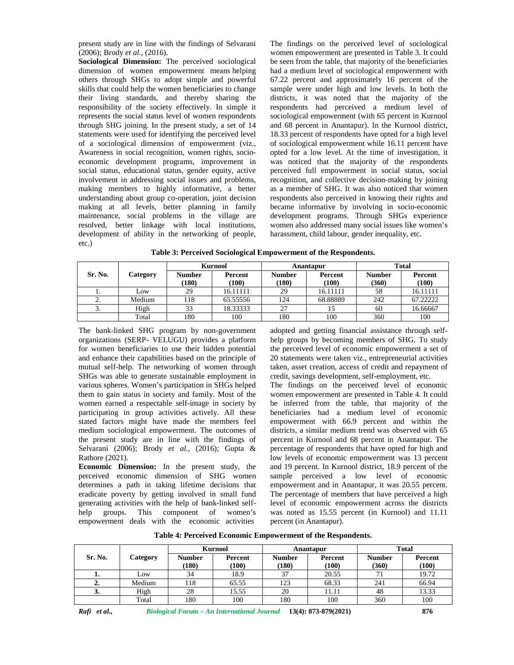present study are in line with the findings of Selvarani (2006); Brody *et al.,* (2016).

**Sociological Dimension:** The perceived sociological dimension of women empowerment means helping others through SHGs to adopt simple and powerful skills that could help the women beneficiaries to change their living standards, and thereby sharing the responsibility of the society effectively. In simple it represents the social status level of women respondents through SHG joining. In the present study, a set of 14 statements were used for identifying the perceived level of a sociological dimension of empowerment (viz., Awareness in social recognition, women rights, socio economic development programs, improvement in social status, educational status, gender equity, active involvement in addressing social issues and problems, making members to highly informative, a better understanding about group co-operation, joint decision making at all levels, better planning in family maintenance, social problems in the village are resolved, better linkage with local institutions, development of ability in the networking of people, etc.)

The findings on the perceived level of sociological women empowerment are presented in Table 3. It could be seen from the table, that majority of the beneficiaries had a medium level of sociological empowerment with 67.22 percent and approximately 16 percent of the sample were under high and low levels. In both the districts, it was noted that the majority of the respondents had perceived a medium level of sociological empowerment (with 65 percent in Kurnool and 68 percent in Anantapur). In the Kurnool district, 18.33 percent of respondents have opted for a high level of sociological empowerment while 16.11 percent have opted for a low level. At the time of investigation, it was noticed that the majority of the respondents perceived full empowerment in social status, social recognition, and collective decision-making by joining as a member of SHG. It was also noticed that women respondents also perceived in knowing their rights and became informative by involving in socio-economic development programs. Through SHGs experience women also addressed many social issues like women's harassment, child labour, gender inequality, etc.

|  |  | Table 3: Perceived Sociological Empowerment of the Respondents. |
|--|--|-----------------------------------------------------------------|
|--|--|-----------------------------------------------------------------|

|         |          | <b>Kurnool</b>        |                  | Anantapur              |                  | <b>Total</b>           |                  |
|---------|----------|-----------------------|------------------|------------------------|------------------|------------------------|------------------|
| Sr. No. | Category | <b>Number</b><br>180) | Percent<br>(100) | <b>Number</b><br>(180) | Percent<br>(100) | <b>Number</b><br>(360) | Percent<br>(100) |
|         | Low      | 29                    | 16.11111         | 29                     | 16.11111         | 58                     | 16.11111         |
|         | Medium   | 18                    | 65.55556         | 124                    | 68.88889         | 242                    | 67.22222         |
| J.      | High     | 33                    | 18.33333         | 27                     |                  | 60                     | 16.66667         |
|         | Total    | 180                   | 100              | 180                    | 100              | 360                    | 100              |

The bank-linked SHG program by non-government organizations (SERP- VELUGU) provides a platform for women beneficiaries to use their hidden potential and enhance their capabilities based on the principle of mutual self-help. The networking of women through SHGs was able to generate sustainable employment in various spheres. Women's participation in SHGs helped them to gain status in society and family. Most of the women earned a respectable self-image in society by participating in group activities actively. All these stated factors might have made the members feel medium sociological empowerment. The outcomes of the present study are in line with the findings of Selvarani (2006); Brody *et al.,* (2016); Gupta & Rathore (2021).

**Economic Dimension:** In the present study, the perceived economic dimension of SHG women determines a path in taking lifetime decisions that eradicate poverty by getting involved in small fund generating activities with the help of bank-linked self help groups. This component of women's empowerment deals with the economic activities

adopted and getting financial assistance through self help groups by becoming members of SHG. To study the perceived level of economic empowerment a set of 20 statements were taken viz., entrepreneurial activities taken, asset creation, access of credit and repayment of credit, savings development, self-employment, etc.

The findings on the perceived level of economic women empowerment are presented in Table 4. It could be inferred from the table, that majority of the beneficiaries had a medium level of economic empowerment with 66.9 percent and within the districts, a similar medium trend was observed with 65 percent in Kurnool and 68 percent in Anantapur. The percentage of respondents that have opted for high and low levels of economic empowerment was 13 percent and 19 percent. In Kurnool district, 18.9 percent of the sample perceived a low level of economic empowerment and in Anantapur, it was 20.55 percent. The percentage of members that have perceived a high level of economic empowerment across the districts was noted as 15.55 percent (in Kurnool) and 11.11 percent (in Anantapur).

**Table 4: Perceived Economic Empowerment of the Respondents.**

|         |          |                        | <b>Kurnool</b>   |                        | Anantapur        |                        | <b>Total</b>     |
|---------|----------|------------------------|------------------|------------------------|------------------|------------------------|------------------|
| Sr. No. | Category | <b>Number</b><br>(180) | Percent<br>(100) | <b>Number</b><br>(180) | Percent<br>(100) | <b>Number</b><br>(360) | Percent<br>(100) |
| ı.      | Low      | 34                     | 18.9             | 37                     | 20.55            | 71                     | 19.72            |
| ∠.      | Medium   | 118                    | 65.55            | 123                    | 68.33            | 241                    | 66.94            |
| J.      | High     | 28                     | 15.55            | 20                     | 11.11            | 48                     | 13.33            |
|         | Total    | 180                    | 100              | 180                    | 100              | 360                    | 100              |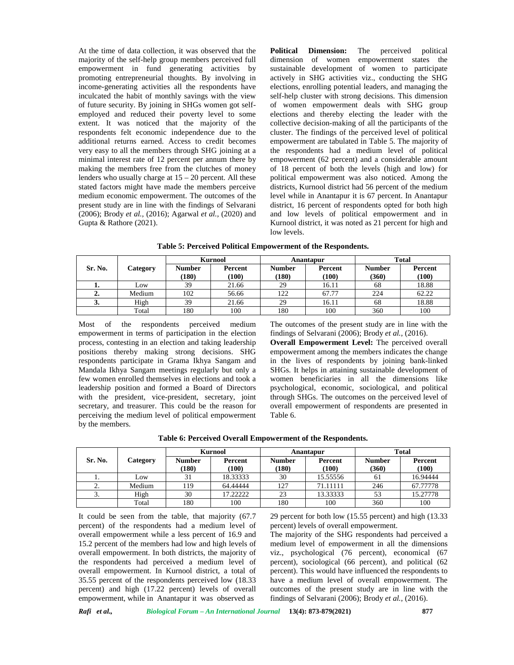At the time of data collection, it was observed that the Political majority of the self-help group members perceived full empowerment in fund generating activities by promoting entrepreneurial thoughts. By involving in income-generating activities all the respondents have inculcated the habit of monthly savings with the view of future security. By joining in SHGs women got self employed and reduced their poverty level to some extent. It was noticed that the majority of the respondents felt economic independence due to the additional returns earned. Access to credit becomes very easy to all the members through SHG joining at a minimal interest rate of 12 percent per annum there by making the members free from the clutches of money lenders who usually charge at 15 – 20 percent. All these stated factors might have made the members perceive medium economic empowerment. The outcomes of the present study are in line with the findings of Selvarani (2006); Brody *et al.,* (2016); Agarwal *et al.,* (2020) and Gupta & Rathore (2021).

**Dimension:** The perceived political dimension of women empowerment states the sustainable development of women to participate actively in SHG activities viz., conducting the SHG elections, enrolling potential leaders, and managing the self-help cluster with strong decisions. This dimension of women empowerment deals with SHG group elections and thereby electing the leader with the collective decision-making of all the participants of the cluster. The findings of the perceived level of political empowerment are tabulated in Table 5. The majority of the respondents had a medium level of political empowerment (62 percent) and a considerable amount of 18 percent of both the levels (high and low) for political empowerment was also noticed. Among the districts, Kurnool district had 56 percent of the medium level while in Anantapur it is 67 percent. In Anantapur district, 16 percent of respondents opted for both high and low levels of political empowerment and in Kurnool district, it was noted as 21 percent for high and low levels.

**Table 5: Perceived Political Empowerment of the Respondents.**

|         |          |                        | <b>Kurnool</b>   | Anantapur              |                  |                        | <b>Total</b>     |
|---------|----------|------------------------|------------------|------------------------|------------------|------------------------|------------------|
| Sr. No. | Category | <b>Number</b><br>(180) | Percent<br>(100) | <b>Number</b><br>(180) | Percent<br>(100) | <b>Number</b><br>(360) | Percent<br>(100) |
| ı.      | LOW      | 39                     | 21.66            | 29                     | 16.11            | 68                     | 18.88            |
| ∸.      | Medium   | 102                    | 56.66            | 122                    | 67.77            | 224                    | 62.22            |
| J.      | High     | 39                     | 21.66            | 29                     | 16.11            | 68                     | 18.88            |
|         | Total    | 180                    | 100              | 180                    | 100              | 360                    | 100              |

Most of the respondents perceived medium empowerment in terms of participation in the election process, contesting in an election and taking leadership positions thereby making strong decisions. SHG respondents participate in Grama Ikhya Sangam and Mandala Ikhya Sangam meetings regularly but only a few women enrolled themselves in elections and took a leadership position and formed a Board of Directors with the president, vice-president, secretary, joint secretary, and treasurer. This could be the reason for perceiving the medium level of political empowerment by the members.

The outcomes of the present study are in line with the findings of Selvarani (2006); Brody *et al.,* (2016).

**Overall Empowerment Level:** The perceived overall empowerment among the members indicates the change in the lives of respondents by joining bank-linked SHGs. It helps in attaining sustainable development of women beneficiaries in all the dimensions like psychological, economic, sociological, and political through SHGs. The outcomes on the perceived level of overall empowerment of respondents are presented in Table 6.

|         | <b>Kurnool</b> |                              |                  | Anantapur              |                  | <b>Total</b>           |                  |
|---------|----------------|------------------------------|------------------|------------------------|------------------|------------------------|------------------|
| Sr. No. | Category       | <b>Number</b><br><b>180)</b> | Percent<br>(100) | <b>Number</b><br>(180) | Percent<br>(100) | <b>Number</b><br>(360) | Percent<br>(100) |
| .,      | Low            | 31                           | 18.33333         | 30                     | 15.55556         | 61                     | 16.94444         |
| ٠.      | Medium         | 119                          | 64.44444         | 127                    | 71.11111         | 246                    | 67.77778         |
| J.      | High           | 30                           | 17.22222         | 23                     | 13.33333         | 53                     | 15.27778         |
|         | Total          | 180                          | 100              | 180                    | 100              | 360                    | 100              |

It could be seen from the table, that majority (67.7 percent) of the respondents had a medium level of overall empowerment while a less percent of 16.9 and 15.2 percent of the members had low and high levels of overall empowerment. In both districts, the majority of the respondents had perceived a medium level of overall empowerment. In Kurnool district, a total of 35.55 percent of the respondents perceived low (18.33 percent) and high (17.22 percent) levels of overall empowerment, while in Anantapur it was observed as

29 percent for both low (15.55 percent) and high (13.33 percent) levels of overall empowerment.

The majority of the SHG respondents had perceived a medium level of empowerment in all the dimensions viz., psychological (76 percent), economical (67 percent), sociological (66 percent), and political (62 percent). This would have influenced the respondents to have a medium level of overall empowerment. The outcomes of the present study are in line with the findings of Selvarani (2006); Brody *et al.,* (2016).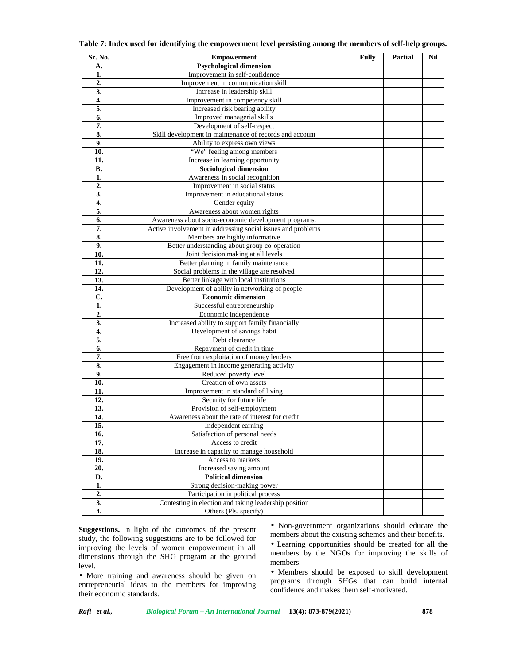| Sr. No.          | <b>Empowerment</b>                                          | Fully | <b>Partial</b> | Nil |
|------------------|-------------------------------------------------------------|-------|----------------|-----|
| A.               | <b>Psychological dimension</b>                              |       |                |     |
| 1.               | Improvement in self-confidence                              |       |                |     |
| 2.               | Improvement in communication skill                          |       |                |     |
| 3.               | Increase in leadership skill                                |       |                |     |
| 4.               | Improvement in competency skill                             |       |                |     |
| 5.               | Increased risk bearing ability                              |       |                |     |
| 6.               | Improved managerial skills                                  |       |                |     |
| 7.               | Development of self-respect                                 |       |                |     |
| 8.               | Skill development in maintenance of records and account     |       |                |     |
| 9.               | Ability to express own views                                |       |                |     |
| 10.              | "We" feeling among members                                  |       |                |     |
| 11.              | Increase in learning opportunity                            |       |                |     |
| В.               | <b>Sociological dimension</b>                               |       |                |     |
| 1.               | Awareness in social recognition                             |       |                |     |
| $\overline{2}$ . | Improvement in social status                                |       |                |     |
| 3.               | Improvement in educational status                           |       |                |     |
| 4.               | Gender equity                                               |       |                |     |
| 5.               | Awareness about women rights                                |       |                |     |
| 6.               | Awareness about socio-economic development programs.        |       |                |     |
| 7.               | Active involvement in addressing social issues and problems |       |                |     |
| 8.               | Members are highly informative                              |       |                |     |
| 9.               | Better understanding about group co-operation               |       |                |     |
| 10.              | Joint decision making at all levels                         |       |                |     |
| 11.              | Better planning in family maintenance                       |       |                |     |
| 12.              | Social problems in the village are resolved                 |       |                |     |
| 13.              | Better linkage with local institutions                      |       |                |     |
| 14.              | Development of ability in networking of people              |       |                |     |
| C.               | <b>Economic dimension</b>                                   |       |                |     |
| 1.               | Successful entrepreneurship                                 |       |                |     |
| $\overline{2}$   | Economic independence                                       |       |                |     |
| 3.               | Increased ability to support family financially             |       |                |     |
| 4.               | Development of savings habit                                |       |                |     |
| 5.               | Debt clearance                                              |       |                |     |
| 6.               | Repayment of credit in time                                 |       |                |     |
| 7.               | Free from exploitation of money lenders                     |       |                |     |
| 8.               | Engagement in income generating activity                    |       |                |     |
| 9.               | Reduced poverty level                                       |       |                |     |
| 10.              | Creation of own assets                                      |       |                |     |
| 11.              | Improvement in standard of living                           |       |                |     |
| 12.              | Security for future life                                    |       |                |     |
| 13.              | Provision of self-employment                                |       |                |     |
| 14.              | Awareness about the rate of interest for credit             |       |                |     |
| 15.              | Independent earning                                         |       |                |     |
| 16.              | Satisfaction of personal needs                              |       |                |     |
| 17.              | Access to credit                                            |       |                |     |
| 18.              | Increase in capacity to manage household                    |       |                |     |
| 19.              | Access to markets                                           |       |                |     |
| 20.              | Increased saving amount                                     |       |                |     |
| D.               | <b>Political dimension</b>                                  |       |                |     |
| 1.               | Strong decision-making power                                |       |                |     |
| 2.               | Participation in political process                          |       |                |     |
|                  |                                                             |       |                |     |
| $\overline{3}$ . | Contesting in election and taking leadership position       |       |                |     |

**Table 7: Index used for identifying the empowerment level persisting among the members of self-help groups.**

**Suggestions.** In light of the outcomes of the present study, the following suggestions are to be followed for improving the levels of women empowerment in all dimensions through the SHG program at the ground level.

• More training and awareness should be given on entrepreneurial ideas to the members for improving their economic standards.

• Non-government organizations should educate the members about the existing schemes and their benefits.

• Learning opportunities should be created for all the members by the NGOs for improving the skills of members.

• Members should be exposed to skill development programs through SHGs that can build internal confidence and makes them self-motivated.